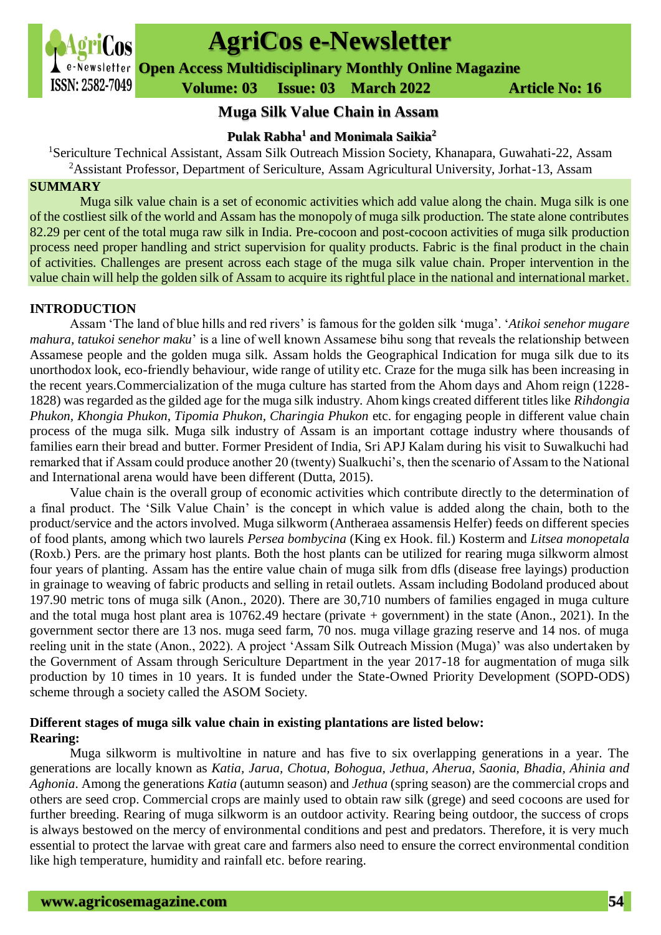

# **AgriCos e-Newsletter**

**Open Access Multidisciplinary Monthly Online Magazine**

 **ISSN: 2582-7049 Volume: 03 Issue: 03 March 2022 Article No: 16** 

# **Muga Silk Value Chain in Assam**

# **Pulak Rabha<sup>1</sup> and Monimala Saikia<sup>2</sup>**

<sup>1</sup>Sericulture Technical Assistant, Assam Silk Outreach Mission Society, Khanapara, Guwahati-22, Assam <sup>2</sup>Assistant Professor, Department of Sericulture, Assam Agricultural University, Jorhat-13, Assam

#### **SUMMARY**

Muga silk value chain is a set of economic activities which add value along the chain. Muga silk is one of the costliest silk of the world and Assam has the monopoly of muga silk production. The state alone contributes 82.29 per cent of the total muga raw silk in India. Pre-cocoon and post-cocoon activities of muga silk production process need proper handling and strict supervision for quality products. Fabric is the final product in the chain of activities. Challenges are present across each stage of the muga silk value chain. Proper intervention in the value chain will help the golden silk of Assam to acquire its rightful place in the national and international market.

#### **INTRODUCTION**

Assam 'The land of blue hills and red rivers' is famous for the golden silk 'muga'. '*Atikoi senehor mugare mahura, tatukoi senehor maku*' is a line of well known Assamese bihu song that reveals the relationship between Assamese people and the golden muga silk. Assam holds the Geographical Indication for muga silk due to its unorthodox look, eco-friendly behaviour, wide range of utility etc. Craze for the muga silk has been increasing in the recent years.Commercialization of the muga culture has started from the Ahom days and Ahom reign (1228- 1828) was regarded as the gilded age for the muga silk industry. Ahom kings created different titles like *Rihdongia Phukon, Khongia Phukon, Tipomia Phukon, Charingia Phukon* etc. for engaging people in different value chain process of the muga silk. Muga silk industry of Assam is an important cottage industry where thousands of families earn their bread and butter. Former President of India, Sri APJ Kalam during his visit to Suwalkuchi had remarked that if Assam could produce another 20 (twenty) Sualkuchi's, then the scenario of Assam to the National and International arena would have been different (Dutta, 2015).

Value chain is the overall group of economic activities which contribute directly to the determination of a final product. The 'Silk Value Chain' is the concept in which value is added along the chain, both to the product/service and the actors involved. Muga silkworm (Antheraea assamensis Helfer) feeds on different species of food plants, among which two laurels *Persea bombycina* (King ex Hook. fil.) Kosterm and *Litsea monopetala*  (Roxb.) Pers. are the primary host plants. Both the host plants can be utilized for rearing muga silkworm almost four years of planting. Assam has the entire value chain of muga silk from dfls (disease free layings) production in grainage to weaving of fabric products and selling in retail outlets. Assam including Bodoland produced about 197.90 metric tons of muga silk (Anon., 2020). There are 30,710 numbers of families engaged in muga culture and the total muga host plant area is 10762.49 hectare (private + government) in the state (Anon., 2021). In the government sector there are 13 nos. muga seed farm, 70 nos. muga village grazing reserve and 14 nos. of muga reeling unit in the state (Anon., 2022). A project 'Assam Silk Outreach Mission (Muga)' was also undertaken by the Government of Assam through Sericulture Department in the year 2017-18 for augmentation of muga silk production by 10 times in 10 years. It is funded under the State-Owned Priority Development (SOPD-ODS) scheme through a society called the ASOM Society.

# **Different stages of muga silk value chain in existing plantations are listed below: Rearing:**

Muga silkworm is multivoltine in nature and has five to six overlapping generations in a year. The generations are locally known as *Katia, Jarua, Chotua, Bohogua, Jethua, Aherua, Saonia, Bhadia, Ahinia and Aghonia*. Among the generations *Katia* (autumn season) and *Jethua* (spring season) are the commercial crops and others are seed crop. Commercial crops are mainly used to obtain raw silk (grege) and seed cocoons are used for further breeding. Rearing of muga silkworm is an outdoor activity. Rearing being outdoor, the success of crops is always bestowed on the mercy of environmental conditions and pest and predators. Therefore, it is very much essential to protect the larvae with great care and farmers also need to ensure the correct environmental condition like high temperature, humidity and rainfall etc. before rearing.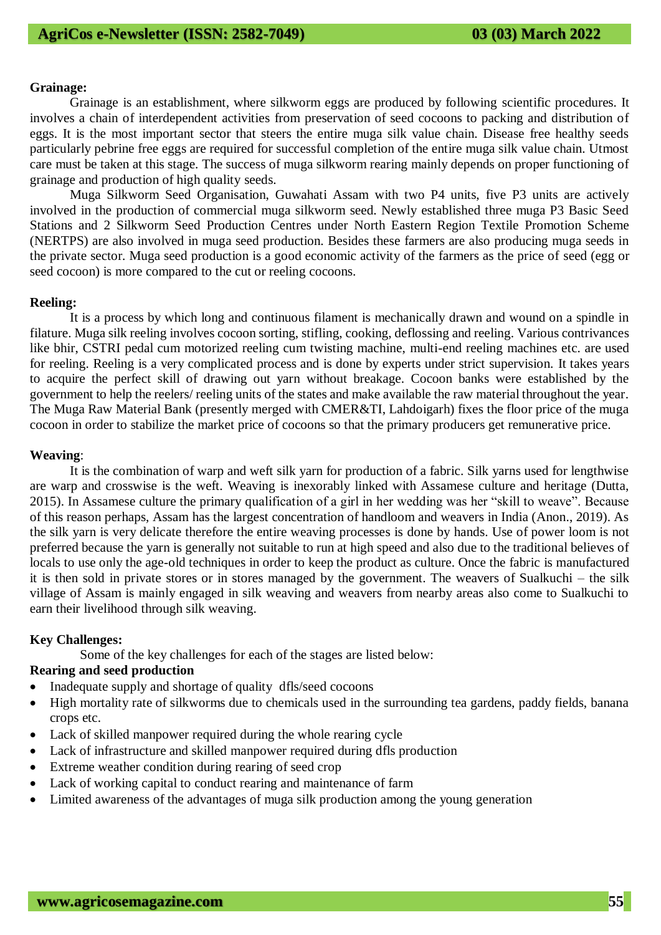#### **Grainage:**

Grainage is an establishment, where silkworm eggs are produced by following scientific procedures. It involves a chain of interdependent activities from preservation of seed cocoons to packing and distribution of eggs. It is the most important sector that steers the entire muga silk value chain. Disease free healthy seeds particularly pebrine free eggs are required for successful completion of the entire muga silk value chain. Utmost care must be taken at this stage. The success of muga silkworm rearing mainly depends on proper functioning of grainage and production of high quality seeds.

Muga Silkworm Seed Organisation, Guwahati Assam with two P4 units, five P3 units are actively involved in the production of commercial muga silkworm seed. Newly established three muga P3 Basic Seed Stations and 2 Silkworm Seed Production Centres under North Eastern Region Textile Promotion Scheme (NERTPS) are also involved in muga seed production. Besides these farmers are also producing muga seeds in the private sector. Muga seed production is a good economic activity of the farmers as the price of seed (egg or seed cocoon) is more compared to the cut or reeling cocoons.

#### **Reeling:**

It is a process by which long and continuous filament is mechanically drawn and wound on a spindle in filature. Muga silk reeling involves cocoon sorting, stifling, cooking, deflossing and reeling. Various contrivances like bhir, CSTRI pedal cum motorized reeling cum twisting machine, multi-end reeling machines etc. are used for reeling. Reeling is a very complicated process and is done by experts under strict supervision. It takes years to acquire the perfect skill of drawing out yarn without breakage. Cocoon banks were established by the government to help the reelers/ reeling units of the states and make available the raw material throughout the year. The Muga Raw Material Bank (presently merged with CMER&TI, Lahdoigarh) fixes the floor price of the muga cocoon in order to stabilize the market price of cocoons so that the primary producers get remunerative price.

#### **Weaving**:

It is the combination of warp and weft silk yarn for production of a fabric. Silk yarns used for lengthwise are warp and crosswise is the weft. Weaving is inexorably linked with Assamese culture and heritage (Dutta, 2015). In Assamese culture the primary qualification of a girl in her wedding was her "skill to weave". Because of this reason perhaps, Assam has the largest concentration of handloom and weavers in India (Anon., 2019). As the silk yarn is very delicate therefore the entire weaving processes is done by hands. Use of power loom is not preferred because the yarn is generally not suitable to run at high speed and also due to the traditional believes of locals to use only the age-old techniques in order to keep the product as culture. Once the fabric is manufactured it is then sold in private stores or in stores managed by the government. The weavers of Sualkuchi – the silk village of Assam is mainly engaged in silk weaving and weavers from nearby areas also come to Sualkuchi to earn their livelihood through silk weaving.

#### **Key Challenges:**

Some of the key challenges for each of the stages are listed below:

### **Rearing and seed production**

- Inadequate supply and shortage of quality dfls/seed cocoons
- High mortality rate of silkworms due to chemicals used in the surrounding tea gardens, paddy fields, banana crops etc.
- Lack of skilled manpower required during the whole rearing cycle
- Lack of infrastructure and skilled manpower required during dfls production
- Extreme weather condition during rearing of seed crop
- Lack of working capital to conduct rearing and maintenance of farm
- Limited awareness of the advantages of muga silk production among the young generation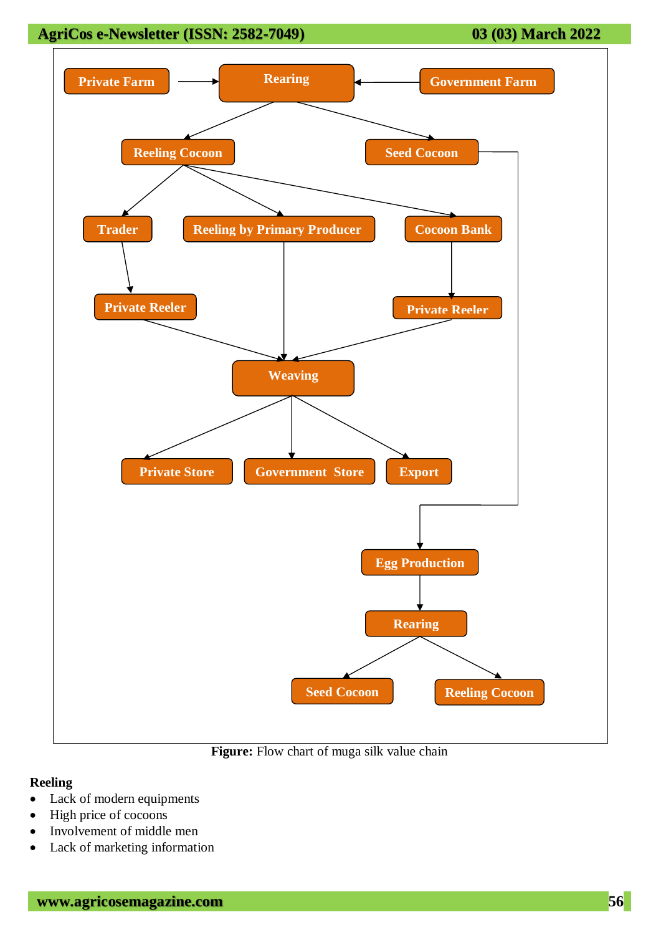# **AgriCos e-Newsletter (ISSN: 2582-7049) 03 (03) March 2022**



#### **Reeling**

- Lack of modern equipments
- High price of cocoons
- Involvement of middle men
- Lack of marketing information